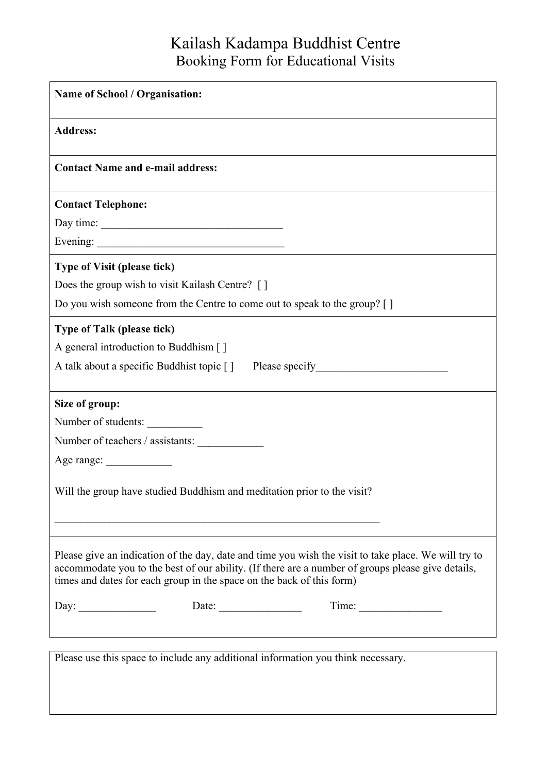## Kailash Kadampa Buddhist Centre Booking Form for Educational Visits

| <b>Name of School / Organisation:</b>                                                                                                                                                                                                                                              |  |  |
|------------------------------------------------------------------------------------------------------------------------------------------------------------------------------------------------------------------------------------------------------------------------------------|--|--|
| <b>Address:</b>                                                                                                                                                                                                                                                                    |  |  |
| <b>Contact Name and e-mail address:</b>                                                                                                                                                                                                                                            |  |  |
| <b>Contact Telephone:</b>                                                                                                                                                                                                                                                          |  |  |
| Day time:                                                                                                                                                                                                                                                                          |  |  |
|                                                                                                                                                                                                                                                                                    |  |  |
| <b>Type of Visit (please tick)</b>                                                                                                                                                                                                                                                 |  |  |
| Does the group wish to visit Kailash Centre? []                                                                                                                                                                                                                                    |  |  |
| Do you wish someone from the Centre to come out to speak to the group? []                                                                                                                                                                                                          |  |  |
| <b>Type of Talk (please tick)</b>                                                                                                                                                                                                                                                  |  |  |
| A general introduction to Buddhism []                                                                                                                                                                                                                                              |  |  |
| A talk about a specific Buddhist topic []                                                                                                                                                                                                                                          |  |  |
| Size of group:                                                                                                                                                                                                                                                                     |  |  |
| Number of students:                                                                                                                                                                                                                                                                |  |  |
| Number of teachers / assistants:                                                                                                                                                                                                                                                   |  |  |
|                                                                                                                                                                                                                                                                                    |  |  |
| Will the group have studied Buddhism and meditation prior to the visit?                                                                                                                                                                                                            |  |  |
|                                                                                                                                                                                                                                                                                    |  |  |
| Please give an indication of the day, date and time you wish the visit to take place. We will try to<br>accommodate you to the best of our ability. (If there are a number of groups please give details,<br>times and dates for each group in the space on the back of this form) |  |  |
| Time:<br>Day:  Date:  Date:                                                                                                                                                                                                                                                        |  |  |
|                                                                                                                                                                                                                                                                                    |  |  |
| Please use this space to include any additional information you think necessary.                                                                                                                                                                                                   |  |  |